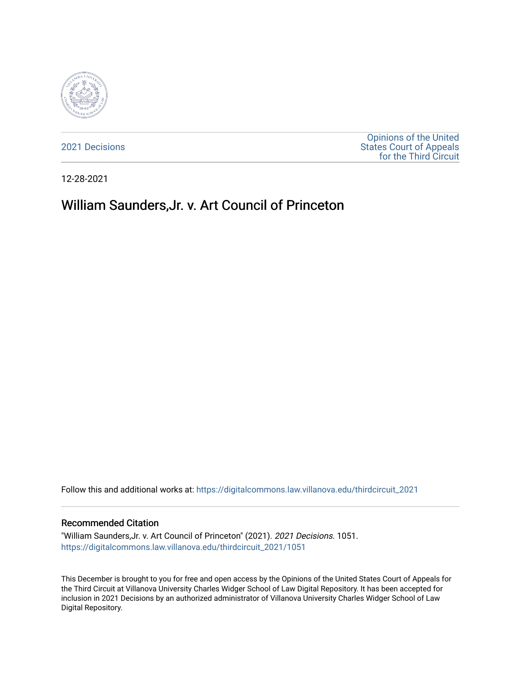

[2021 Decisions](https://digitalcommons.law.villanova.edu/thirdcircuit_2021)

[Opinions of the United](https://digitalcommons.law.villanova.edu/thirdcircuit)  [States Court of Appeals](https://digitalcommons.law.villanova.edu/thirdcircuit)  [for the Third Circuit](https://digitalcommons.law.villanova.edu/thirdcircuit) 

12-28-2021

# William Saunders,Jr. v. Art Council of Princeton

Follow this and additional works at: [https://digitalcommons.law.villanova.edu/thirdcircuit\\_2021](https://digitalcommons.law.villanova.edu/thirdcircuit_2021?utm_source=digitalcommons.law.villanova.edu%2Fthirdcircuit_2021%2F1051&utm_medium=PDF&utm_campaign=PDFCoverPages) 

#### Recommended Citation

"William Saunders,Jr. v. Art Council of Princeton" (2021). 2021 Decisions. 1051. [https://digitalcommons.law.villanova.edu/thirdcircuit\\_2021/1051](https://digitalcommons.law.villanova.edu/thirdcircuit_2021/1051?utm_source=digitalcommons.law.villanova.edu%2Fthirdcircuit_2021%2F1051&utm_medium=PDF&utm_campaign=PDFCoverPages) 

This December is brought to you for free and open access by the Opinions of the United States Court of Appeals for the Third Circuit at Villanova University Charles Widger School of Law Digital Repository. It has been accepted for inclusion in 2021 Decisions by an authorized administrator of Villanova University Charles Widger School of Law Digital Repository.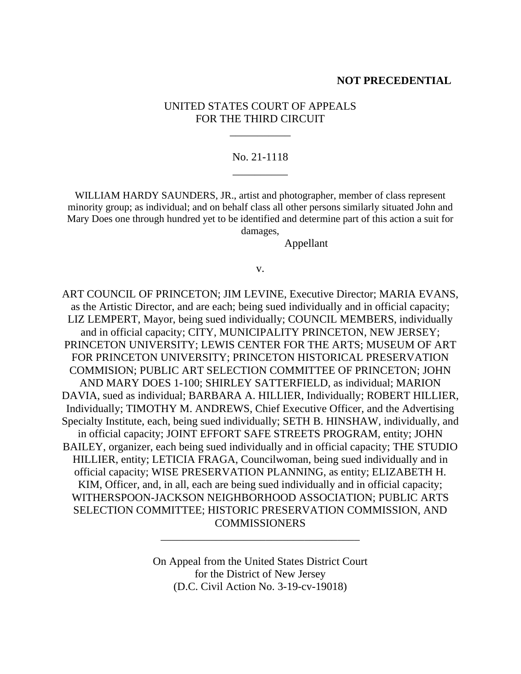### **NOT PRECEDENTIAL**

# UNITED STATES COURT OF APPEALS FOR THE THIRD CIRCUIT

\_\_\_\_\_\_\_\_\_\_\_

# No. 21-1118 \_\_\_\_\_\_\_\_\_\_

WILLIAM HARDY SAUNDERS, JR., artist and photographer, member of class represent minority group; as individual; and on behalf class all other persons similarly situated John and Mary Does one through hundred yet to be identified and determine part of this action a suit for damages,

Appellant

#### v.

ART COUNCIL OF PRINCETON; JIM LEVINE, Executive Director; MARIA EVANS, as the Artistic Director, and are each; being sued individually and in official capacity; LIZ LEMPERT, Mayor, being sued individually; COUNCIL MEMBERS, individually and in official capacity; CITY, MUNICIPALITY PRINCETON, NEW JERSEY; PRINCETON UNIVERSITY; LEWIS CENTER FOR THE ARTS; MUSEUM OF ART FOR PRINCETON UNIVERSITY; PRINCETON HISTORICAL PRESERVATION COMMISION; PUBLIC ART SELECTION COMMITTEE OF PRINCETON; JOHN AND MARY DOES 1-100; SHIRLEY SATTERFIELD, as individual; MARION DAVIA, sued as individual; BARBARA A. HILLIER, Individually; ROBERT HILLIER, Individually; TIMOTHY M. ANDREWS, Chief Executive Officer, and the Advertising Specialty Institute, each, being sued individually; SETH B. HINSHAW, individually, and in official capacity; JOINT EFFORT SAFE STREETS PROGRAM, entity; JOHN BAILEY, organizer, each being sued individually and in official capacity; THE STUDIO HILLIER, entity; LETICIA FRAGA, Councilwoman, being sued individually and in official capacity; WISE PRESERVATION PLANNING, as entity; ELIZABETH H. KIM, Officer, and, in all, each are being sued individually and in official capacity; WITHERSPOON-JACKSON NEIGHBORHOOD ASSOCIATION; PUBLIC ARTS SELECTION COMMITTEE; HISTORIC PRESERVATION COMMISSION, AND **COMMISSIONERS** 

> On Appeal from the United States District Court for the District of New Jersey (D.C. Civil Action No. 3-19-cv-19018)

\_\_\_\_\_\_\_\_\_\_\_\_\_\_\_\_\_\_\_\_\_\_\_\_\_\_\_\_\_\_\_\_\_\_\_\_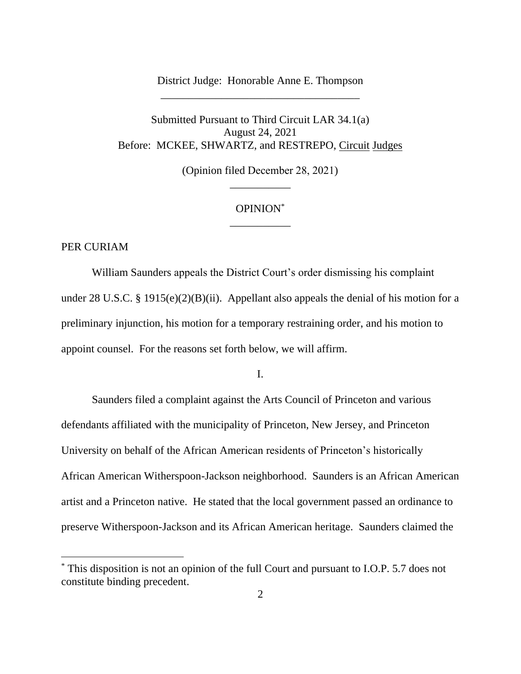# District Judge: Honorable Anne E. Thompson \_\_\_\_\_\_\_\_\_\_\_\_\_\_\_\_\_\_\_\_\_\_\_\_\_\_\_\_\_\_\_\_\_\_\_\_

Submitted Pursuant to Third Circuit LAR 34.1(a) August 24, 2021 Before: MCKEE, SHWARTZ, and RESTREPO, Circuit Judges

> (Opinion filed December 28, 2021) \_\_\_\_\_\_\_\_\_\_\_

# OPINION\* \_\_\_\_\_\_\_\_\_\_\_

## PER CURIAM

William Saunders appeals the District Court's order dismissing his complaint under 28 U.S.C. § 1915(e)(2)(B)(ii). Appellant also appeals the denial of his motion for a preliminary injunction, his motion for a temporary restraining order, and his motion to appoint counsel. For the reasons set forth below, we will affirm.

I.

Saunders filed a complaint against the Arts Council of Princeton and various defendants affiliated with the municipality of Princeton, New Jersey, and Princeton University on behalf of the African American residents of Princeton's historically African American Witherspoon-Jackson neighborhood. Saunders is an African American artist and a Princeton native. He stated that the local government passed an ordinance to preserve Witherspoon-Jackson and its African American heritage. Saunders claimed the

<sup>\*</sup> This disposition is not an opinion of the full Court and pursuant to I.O.P. 5.7 does not constitute binding precedent.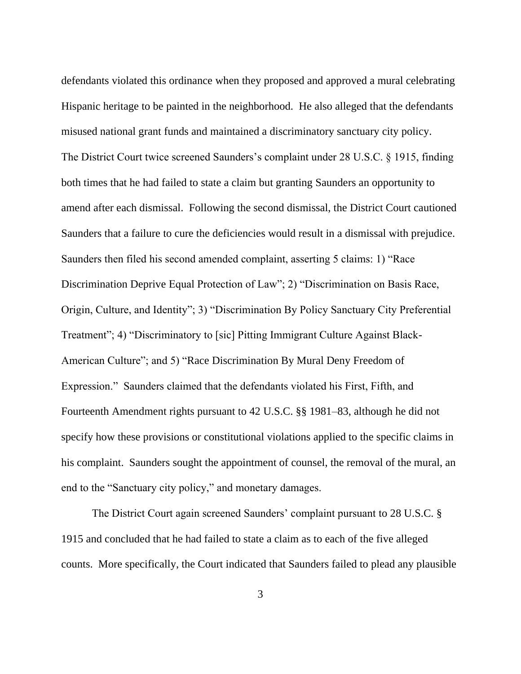defendants violated this ordinance when they proposed and approved a mural celebrating Hispanic heritage to be painted in the neighborhood. He also alleged that the defendants misused national grant funds and maintained a discriminatory sanctuary city policy. The District Court twice screened Saunders's complaint under 28 U.S.C. § 1915, finding both times that he had failed to state a claim but granting Saunders an opportunity to amend after each dismissal. Following the second dismissal, the District Court cautioned Saunders that a failure to cure the deficiencies would result in a dismissal with prejudice. Saunders then filed his second amended complaint, asserting 5 claims: 1) "Race Discrimination Deprive Equal Protection of Law"; 2) "Discrimination on Basis Race, Origin, Culture, and Identity"; 3) "Discrimination By Policy Sanctuary City Preferential Treatment"; 4) "Discriminatory to [sic] Pitting Immigrant Culture Against Black-American Culture"; and 5) "Race Discrimination By Mural Deny Freedom of Expression." Saunders claimed that the defendants violated his First, Fifth, and Fourteenth Amendment rights pursuant to 42 U.S.C. §§ 1981–83, although he did not specify how these provisions or constitutional violations applied to the specific claims in his complaint. Saunders sought the appointment of counsel, the removal of the mural, an end to the "Sanctuary city policy," and monetary damages.

The District Court again screened Saunders' complaint pursuant to 28 U.S.C. § 1915 and concluded that he had failed to state a claim as to each of the five alleged counts. More specifically, the Court indicated that Saunders failed to plead any plausible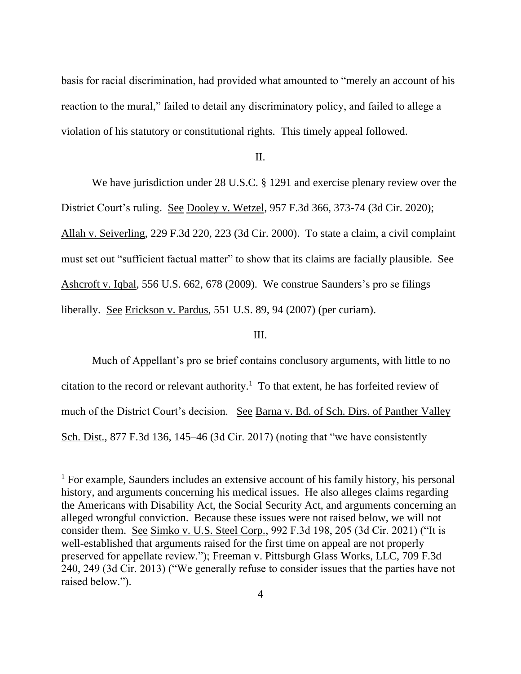basis for racial discrimination, had provided what amounted to "merely an account of his reaction to the mural," failed to detail any discriminatory policy, and failed to allege a violation of his statutory or constitutional rights. This timely appeal followed.

#### II.

We have jurisdiction under 28 U.S.C. § 1291 and exercise plenary review over the District Court's ruling. See Dooley v. Wetzel, 957 F.3d 366, 373-74 (3d Cir. 2020); Allah v. Seiverling, 229 F.3d 220, 223 (3d Cir. 2000). To state a claim, a civil complaint must set out "sufficient factual matter" to show that its claims are facially plausible. See Ashcroft v. Iqbal, 556 U.S. 662, 678 (2009). We construe Saunders's pro se filings liberally. See Erickson v. Pardus, 551 U.S. 89, 94 (2007) (per curiam).

### III.

Much of Appellant's pro se brief contains conclusory arguments, with little to no citation to the record or relevant authority.<sup>1</sup> To that extent, he has forfeited review of much of the District Court's decision. See Barna v. Bd. of Sch. Dirs. of Panther Valley Sch. Dist., 877 F.3d 136, 145–46 (3d Cir. 2017) (noting that "we have consistently

<sup>&</sup>lt;sup>1</sup> For example, Saunders includes an extensive account of his family history, his personal history, and arguments concerning his medical issues. He also alleges claims regarding the Americans with Disability Act, the Social Security Act, and arguments concerning an alleged wrongful conviction. Because these issues were not raised below, we will not consider them. See Simko v. U.S. Steel Corp., 992 F.3d 198, 205 (3d Cir. 2021) ("It is well-established that arguments raised for the first time on appeal are not properly preserved for appellate review."); Freeman v. Pittsburgh Glass Works, LLC, 709 F.3d 240, 249 (3d Cir. 2013) ("We generally refuse to consider issues that the parties have not raised below.").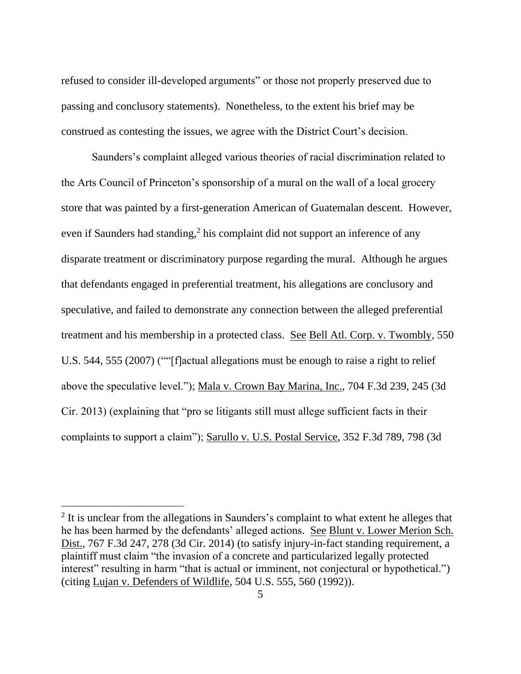refused to consider ill-developed arguments" or those not properly preserved due to passing and conclusory statements). Nonetheless, to the extent his brief may be construed as contesting the issues, we agree with the District Court's decision.

Saunders's complaint alleged various theories of racial discrimination related to the Arts Council of Princeton's sponsorship of a mural on the wall of a local grocery store that was painted by a first-generation American of Guatemalan descent. However, even if Saunders had standing,<sup>2</sup> his complaint did not support an inference of any disparate treatment or discriminatory purpose regarding the mural. Although he argues that defendants engaged in preferential treatment, his allegations are conclusory and speculative, and failed to demonstrate any connection between the alleged preferential treatment and his membership in a protected class. See Bell Atl. Corp. v. Twombly, 550 U.S. 544, 555 (2007) (""[f]actual allegations must be enough to raise a right to relief above the speculative level."); Mala v. Crown Bay Marina, Inc., 704 F.3d 239, 245 (3d Cir. 2013) (explaining that "pro se litigants still must allege sufficient facts in their complaints to support a claim"); Sarullo v. U.S. Postal Service, 352 F.3d 789, 798 (3d

<sup>&</sup>lt;sup>2</sup> It is unclear from the allegations in Saunders's complaint to what extent he alleges that he has been harmed by the defendants' alleged actions. See Blunt v. Lower Merion Sch. Dist., 767 F.3d 247, 278 (3d Cir. 2014) (to satisfy injury-in-fact standing requirement, a plaintiff must claim "the invasion of a concrete and particularized legally protected interest" resulting in harm "that is actual or imminent, not conjectural or hypothetical.") (citing Lujan v. Defenders of Wildlife, 504 U.S. 555, 560 (1992)).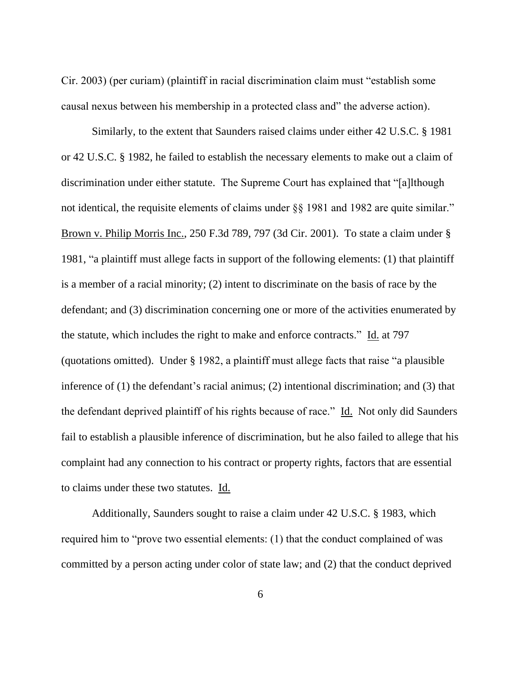Cir. 2003) (per curiam) (plaintiff in racial discrimination claim must "establish some causal nexus between his membership in a protected class and" the adverse action).

Similarly, to the extent that Saunders raised claims under either 42 U.S.C. § 1981 or 42 U.S.C. § 1982, he failed to establish the necessary elements to make out a claim of discrimination under either statute. The Supreme Court has explained that "[a]lthough not identical, the requisite elements of claims under §§ 1981 and 1982 are quite similar." Brown v. Philip Morris Inc., 250 F.3d 789, 797 (3d Cir. 2001). To state a claim under § 1981, "a plaintiff must allege facts in support of the following elements: (1) that plaintiff is a member of a racial minority; (2) intent to discriminate on the basis of race by the defendant; and (3) discrimination concerning one or more of the activities enumerated by the statute, which includes the right to make and enforce contracts." Id. at 797 (quotations omitted). Under § 1982, a plaintiff must allege facts that raise "a plausible inference of (1) the defendant's racial animus; (2) intentional discrimination; and (3) that the defendant deprived plaintiff of his rights because of race." Id. Not only did Saunders fail to establish a plausible inference of discrimination, but he also failed to allege that his complaint had any connection to his contract or property rights, factors that are essential to claims under these two statutes. Id.

Additionally, Saunders sought to raise a claim under 42 U.S.C. § 1983, which required him to "prove two essential elements: (1) that the conduct complained of was committed by a person acting under color of state law; and (2) that the conduct deprived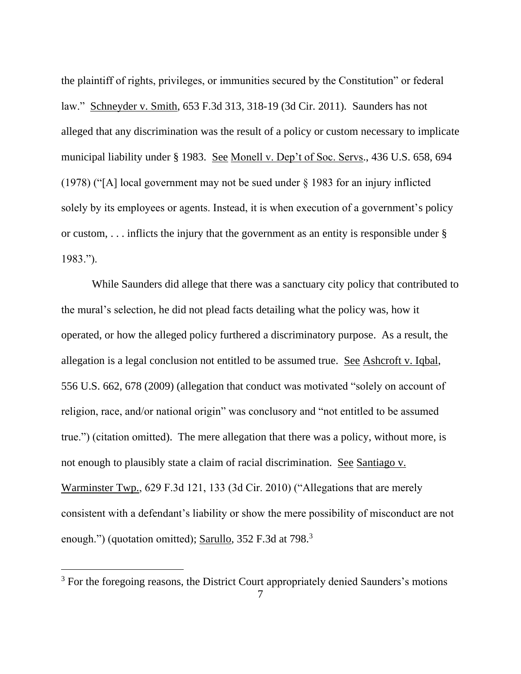the plaintiff of rights, privileges, or immunities secured by the Constitution" or federal law." Schneyder v. Smith, 653 F.3d 313, 318-19 (3d Cir. 2011). Saunders has not alleged that any discrimination was the result of a policy or custom necessary to implicate municipal liability under § 1983. See Monell v. Dep't of Soc. Servs., 436 U.S. 658, 694 (1978) ("[A] local government may not be sued under § 1983 for an injury inflicted solely by its employees or agents. Instead, it is when execution of a government's policy or custom,  $\ldots$  inflicts the injury that the government as an entity is responsible under § 1983.").

While Saunders did allege that there was a sanctuary city policy that contributed to the mural's selection, he did not plead facts detailing what the policy was, how it operated, or how the alleged policy furthered a discriminatory purpose. As a result, the allegation is a legal conclusion not entitled to be assumed true. See Ashcroft v. Iqbal, 556 U.S. 662, 678 (2009) (allegation that conduct was motivated "solely on account of religion, race, and/or national origin" was conclusory and "not entitled to be assumed true.") (citation omitted). The mere allegation that there was a policy, without more, is not enough to plausibly state a claim of racial discrimination. See Santiago v. Warminster Twp., 629 F.3d 121, 133 (3d Cir. 2010) ("Allegations that are merely consistent with a defendant's liability or show the mere possibility of misconduct are not enough.") (quotation omitted); Sarullo, 352 F.3d at 798.<sup>3</sup>

<sup>&</sup>lt;sup>3</sup> For the foregoing reasons, the District Court appropriately denied Saunders's motions